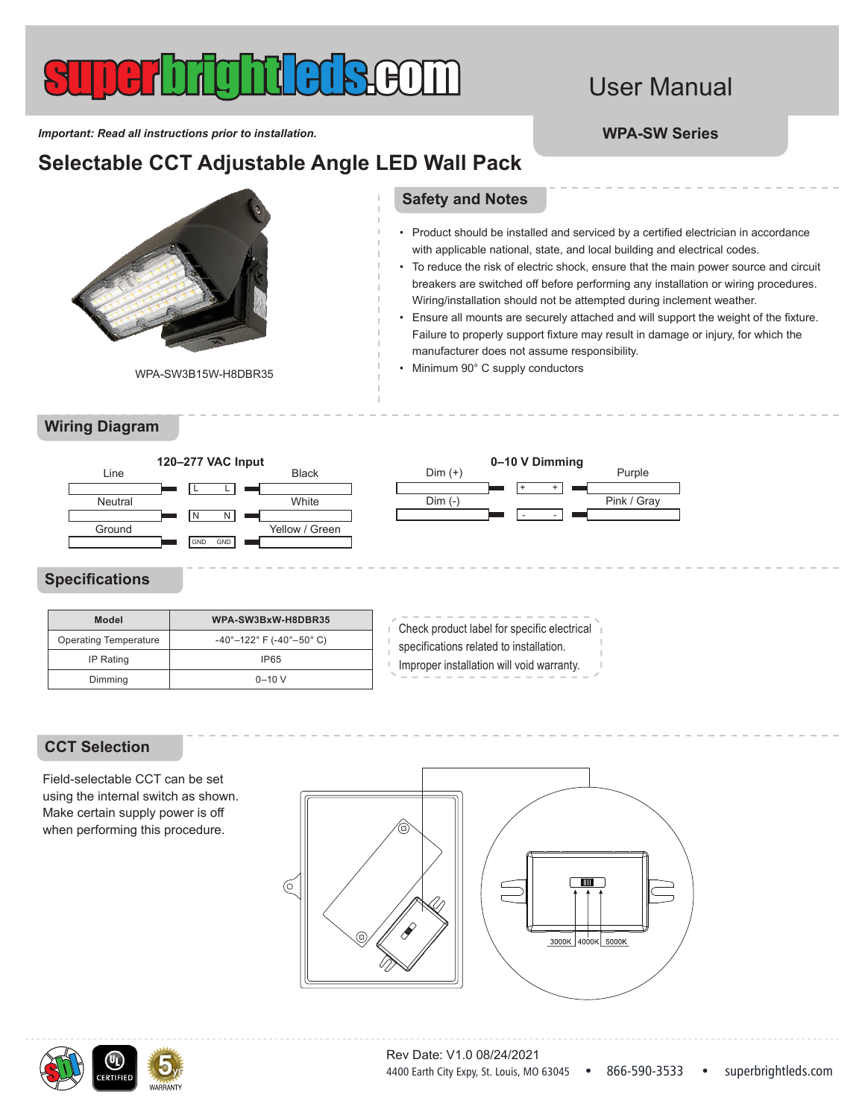# User Manual

• Product should be installed and serviced by a certified electrician in accordance with applicable national, state, and local building and electrical codes.

• To reduce the risk of electric shock, ensure that the main power source and circuit breakers are switched off before performing any installation or wiring procedures.

• Ensure all mounts are securely attached and will support the weight of the fixture. Failure to properly support fixture may result in damage or injury, for which the

Wiring/installation should not be attempted during inclement weather.

*Important: Read all instructions prior to installation.* **WPA-SW Series**

## **Selectable CCT Adjustable Angle LED Wall Pack**



WPA-SW3B15W-H8DBR35

### **Wiring Diagram**

### Line Neutral Ground Black L L  $\overline{N}$  $GND$   $GND$ White Yellow / Green Dim (+) Dim (-) Purple + + - - Pink / Gray **120–277 VAC Input 0–10 V Dimming**

## **Specifications**

| <b>Model</b>                 | WPA-SW3BxW-H8DBR35                                        |
|------------------------------|-----------------------------------------------------------|
| <b>Operating Temperature</b> | $-40^{\circ}-122^{\circ}$ F ( $-40^{\circ}-50^{\circ}$ C) |
| <b>IP Rating</b>             | <b>IP65</b>                                               |
| Dimming                      | $0 - 10 V$                                                |

Check product label for specific electrical specifications related to installation. Improper installation will void warranty.

**Safety and Notes**

• Minimum 90° C supply conductors

manufacturer does not assume responsibility.

### **CCT Selection**

Field-selectable CCT can be set using the internal switch as shown. Make certain supply power is off when performing this procedure.